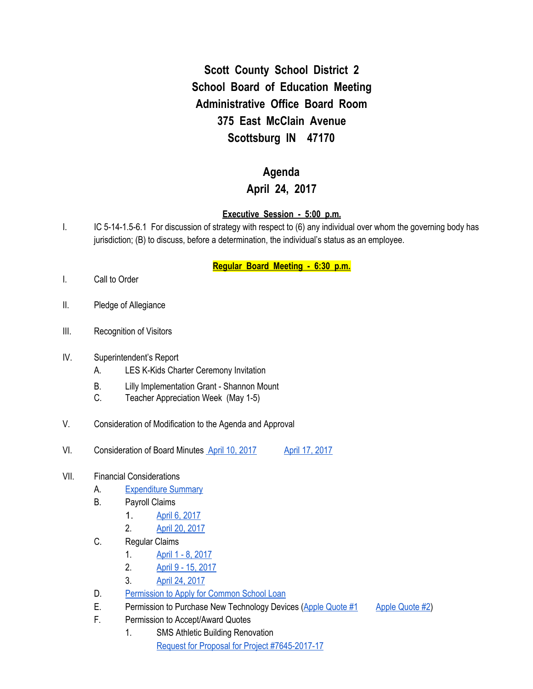**Scott County School District 2 School Board of Education Meeting Administrative Office Board Room 375 East McClain Avenue Scottsburg IN 47170**

## **Agenda**

# **April 24, 2017**

### **Executive Session - 5:00 p.m.**

I. IC 5-14-1.5-6.1 For discussion of strategy with respect to (6) any individual over whom the governing body has jurisdiction; (B) to discuss, before a determination, the individual's status as an employee.

**Regular Board Meeting - 6:30 p.m.**

- I. Call to Order
- II. Pledge of Allegiance
- III. Recognition of Visitors
- IV. Superintendent's Report
	- A. LES K-Kids Charter Ceremony Invitation
	- B. Lilly Implementation Grant Shannon Mount
	- C. Teacher Appreciation Week (May 1-5)
- V. Consideration of Modification to the Agenda and Approval
- VI. Consideration of Board Minutes April 10, [2017](https://docs.google.com/document/d/11h1f4ZVUNkkqn4kFXXx3QtcSUlys4EpBOmj3VYXOzLQ/edit) April 17, [2017](https://docs.google.com/document/d/1IdVGcKvuK_feNL-QEnIopLPrQjI4DicpR9b2a1naIHQ/edit)

#### VII. Financial Considerations

- A. [Expenditure](https://drive.google.com/file/d/0BxXvxnGh3EX1QUpfQlhkZ3RSYWtpMmZETkVMY1RIUE1YQlhF/view) Summary
- B. Payroll Claims
	- 1. April 6, [2017](https://drive.google.com/file/d/0BxXvxnGh3EX1anFXVGpZVkdTWHd3SFd3NUNPbm5wYkd5NmZB/view)
		- 2. April 20, [2017](https://drive.google.com/file/d/0BxXvxnGh3EX1RVR5dGpFenAwUlZmc3VpQ1MzRXJ0S0tRTVV3/view)
- C. Regular Claims
	- 1. April 1 8, [2017](https://drive.google.com/file/d/0BxXvxnGh3EX1SG5BWkFJc29WRFlRNU95MDZUSmJoQ1h3dTNJ/view)
	- 2. April 9 15, [2017](https://drive.google.com/file/d/0BxXvxnGh3EX1VG1uTUdGYS1VcW9nUV84V09fMUxtdm9CZWtj/view)
	- 3. April 24, [2017](https://drive.google.com/file/d/0BxXvxnGh3EX1d09VUmM1ajQ2X3ZNWDdETW5aNzZUUzgwcVpN/view)
- D. [Permission](https://drive.google.com/file/d/0BxXvxnGh3EX1VGZHMmd6VHFjRGkwS1I1Zjl0bmVWZEs0aUtn/view) to Apply for Common School Loan
- E. Permission to Purchase New Technology Devices (Apple [Quote](https://drive.google.com/file/d/0BxXvxnGh3EX1ZUlwTXlSYWxJeVkxNldRM0I4WHQzOVIyQ2Fz/view) #1 Apple Quote #2)
- F. Permission to Accept/Award Quotes
	- 1. SMS Athletic Building Renovation Request for Proposal for Project [#7645-2017-17](https://drive.google.com/file/d/0BxXvxnGh3EX1M0pnclhJYlZOa0hMYWVfeUZDZ1RraUowQzhB/view)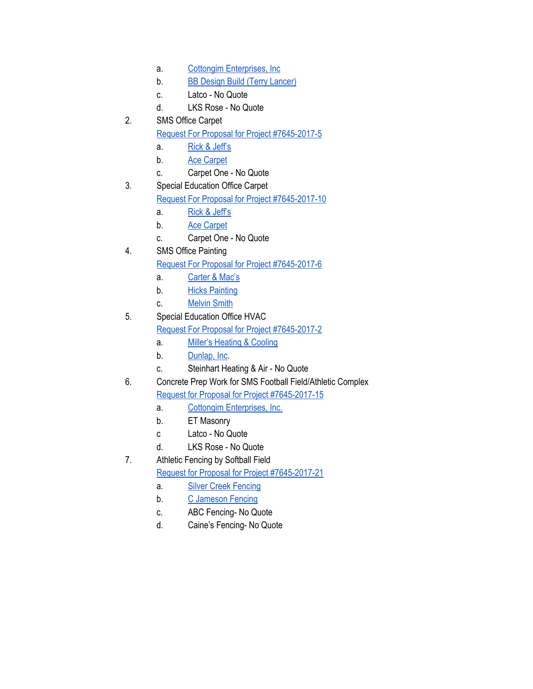- a. Cottongim [Enterprises,](https://drive.google.com/file/d/0BxXvxnGh3EX1LUdtMENid1RnanFSS1hDUzVPVGx0R3pCZ2JF/view) Inc.
- b. BB Design Build (Terry [Lancer\)](https://drive.google.com/file/d/0BxXvxnGh3EX1eTlmQTVPLXRfdGNsa1Z0R2VxeFhQTUNPdzdN/view)
- c. Latco No Quote
- d. LKS Rose No Quote
- 2. SMS Office Carpet

Request For Proposal for Project [#7645-2017-5](https://drive.google.com/file/d/0BxXvxnGh3EX1SUl5VWppRmoycm5aSVh2SjlaQW5pd1pqenhV/view)

- a. Rick & [Jeff's](https://drive.google.com/file/d/0BxXvxnGh3EX1eXlPSW9TOFRtR2ZPRVpLYmt6LWljSURkTXQw/view)
- b. Ace [Carpet](https://drive.google.com/file/d/0BxXvxnGh3EX1NFVXbDJNYXo0ODZ2cm5jZEpsYnFIb0gtSFlR/view)
- c. Carpet One No Quote
- 3. Special Education Office Carpet

Request For Proposal for Project [#7645-2017-10](https://drive.google.com/file/d/0BxXvxnGh3EX1VFZIOUh6TU45c0xSYmE0REthZ0RHTEQwU3JN/view)

- a. Rick & [Jeff's](https://drive.google.com/file/d/0BxXvxnGh3EX1clU5OUFTbEdsZy1jWTFPckdvSmk1dkI3MjlZ/view)
- b. Ace [Carpet](https://drive.google.com/file/d/0BxXvxnGh3EX1cGItYlhoeEFiRm9mQ0ZlaFlrdFNmUXkzdGNJ/view)
- c. Carpet One No Quote
- 4. SMS Office Painting

Request For Proposal for Project [#7645-2017-6](https://drive.google.com/file/d/0BxXvxnGh3EX1SUl5VWppRmoycm5aSVh2SjlaQW5pd1pqenhV/view)

- a. [Carter](https://drive.google.com/file/d/0BxXvxnGh3EX1elFUdjFNX01JWk4weFpPOTUzaHBPcGc5ak9r/view) & Mac's
- b. Hicks [Painting](https://drive.google.com/file/d/0BxXvxnGh3EX1TEhrZFFjU01IS2t2VVpueWdzS2ZwQm5aNTE0/view)
- c. [Melvin](https://drive.google.com/file/d/0BxXvxnGh3EX1YWVzNy1KZzhWVlVSRk5wWDV2QnZVWTctVnV3/view) Smith
- 5. Special Education Office HVAC Request For Proposal for Project [#7645-2017-2](https://drive.google.com/file/d/0BxXvxnGh3EX1VmdVQ0t0Z1JLOFZMQkd6NzdwTl9uYU1ZcHVF/view)
	- a. Miller's [Heating](https://drive.google.com/file/d/0BxXvxnGh3EX1Qjc2VTNSbEhYd0RBOGdSU3pBdXR0aUVvMGQ4/view) & Cooling
	- b. [Dunlap,](https://drive.google.com/file/d/0BxXvxnGh3EX1QldCN0JaWWdadWN1U3FRMTA1Skh5NGZWWE9j/view) Inc.
	- c. Steinhart Heating & Air No Quote
- 6. Concrete Prep Work for SMS Football Field/Athletic Complex Request for Proposal for Project [#7645-2017-15](https://drive.google.com/file/d/0BxXvxnGh3EX1Q01xSEtiSnF1MGNkSzAtUTI4dGlzaUxKRk1Z/view)
	- a. Cottongim [Enterprises,](https://drive.google.com/file/d/0BxXvxnGh3EX1Unpqb1AtRGhTdzI2Skg1X0FVSC1iR0NpQWNZ/view) Inc.
	- b. ET Masonry
	- c Latco No Quote
	- d. LKS Rose No Quote

7. Athletic Fencing by Softball Field

Request for Proposal for Project [#7645-2017-21](https://drive.google.com/file/d/0BxXvxnGh3EX1RVM1WkdPRW8wNkRaeGRKXy15NTdUUTROV1Bj/view)

- a. Silver Creek [Fencing](https://drive.google.com/file/d/0BxXvxnGh3EX1UkdJTVg2bkVpZHcwenFvellXNTQ4YmxRMmN3/view)
- b. C [Jameson](https://drive.google.com/file/d/0BxXvxnGh3EX1VmMwMUFWZVJleWJRZ21LaDBPWlB4OWpyMTFF/view) Fencing
- c. ABC Fencing- No Quote
- d. Caine's Fencing- No Quote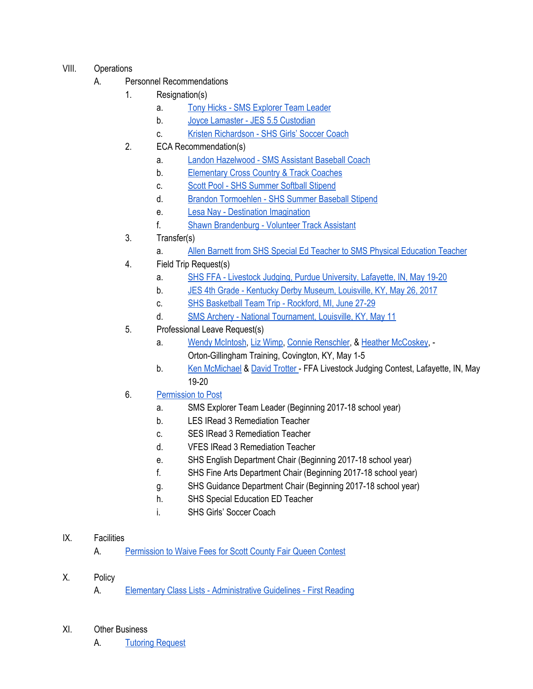- VIII. Operations
	- A. Personnel Recommendations
		- 1. Resignation(s)
			- a. Tony Hicks SMS [Explorer](https://drive.google.com/file/d/0BxXvxnGh3EX1LWt4MWo3a3dDX3NCdzJyNk9mTEJVRlUxeHdn/view) Team Leader
			- b. Joyce Lamaster JES 5.5 [Custodian](https://drive.google.com/file/d/0BxXvxnGh3EX1bDRSTU9BQTRMTFZvMGdmemxzOS1tZkp0ek9n/view)
			- c. Kristen [Richardson](https://drive.google.com/file/d/0BxXvxnGh3EX1NjZUWVdvZkFhWThHQUQzNHJWZ05vMjZEXzJj/view) SHS Girls' Soccer Coach
		- 2. ECA Recommendation(s)
			- a. Landon [Hazelwood](https://drive.google.com/file/d/0BxXvxnGh3EX1YzhJLWdEZ2drSWU3dWM2VVNiRGFOa3ZvQ2dN/view) SMS Assistant Baseball Coach
			- b. [Elementary](https://drive.google.com/file/d/0BxXvxnGh3EX1aXhHWkpfY1lNbUw4LXRDZmRPZmcwd0JwX25j/view) Cross Country & Track Coaches
			- c. Scott Pool SHS [Summer](https://drive.google.com/file/d/0BxXvxnGh3EX1WTdiRGtaV2c4ZzhWM2xXaUxTejRiNGp2NWpZ/view) Softball Stipend
			- d. Brandon [Tormoehlen](https://drive.google.com/file/d/0BxXvxnGh3EX1alRCZ0I4dDdKTVVhdlVTanN2eTktTWMtV2pj/view) SHS Summer Baseball Stipend
			- e. Lesa Nay Destination [Imagination](https://drive.google.com/file/d/0BxXvxnGh3EX1M2gtLVhoY3BpSGJuU2pDcVRnNFhkSWI2OVVj/view)
			- f. Shawn [Brandenburg](https://drive.google.com/file/d/0BxXvxnGh3EX1VjI1RTRfamxXOERJeEd2Z1hOSlpjcTA2MXpn/view) Volunteer Track Assistant
		- 3. Transfer(s)
			- a. Allen Barnett from SHS Special Ed Teacher to SMS Physical [Education](https://drive.google.com/file/d/0BxXvxnGh3EX1alc3LXZldjlLQlJGLVNMazBySDdlai1reHZZ/view) Teacher
		- 4. Field Trip Request(s)
			- a. SHS FFA Livestock Judging, Purdue [University,](https://drive.google.com/file/d/0BxXvxnGh3EX1U3lIQVM0Vm80aHM5NlJCdlJ5ZTlvSEtUaFI0/view) Lafayette, IN, May 19-20
			- b. JES 4th Grade Kentucky Derby Museum, [Louisville,](https://drive.google.com/file/d/0BxXvxnGh3EX1djRxbWo0ajZGbXpTSkFweVZmVkVzUlhzei1j/view) KY, May 26, 2017
			- c. SHS [Basketball](https://drive.google.com/file/d/0BxXvxnGh3EX1cUZYWG5tYjlJeU02STRlVHFpbWI4SFlPeVlF/view) Team Trip Rockford, MI, June 27-29
			- d. SMS Archery National [Tournament,](https://drive.google.com/file/d/0BxXvxnGh3EX1YUJKUDVhSE5aUnR3WGJkQmV6eEhjMlI0Q0lR/view) Louisville, KY, May 11
		- 5. Professional Leave Request(s)
			- a. Wendy [McIntosh,](https://drive.google.com/file/d/0BxXvxnGh3EX1MHlvY0VObDNBNGh3dzVJakNaZUtORC1hdnhr/view) Liz [Wimp,](https://drive.google.com/file/d/0BxXvxnGh3EX1eWJ1U2tDOVlzYlNfVF9XdV8xckhZd2oyeTQ0/view) Connie [Renschler,](https://drive.google.com/file/d/0BxXvxnGh3EX1cjZXaVFzUEhKUVE3Z21abGZGd29HOE1XQXZr/view) & Heather [McCoskey,](https://drive.google.com/file/d/0BxXvxnGh3EX1a0V5cDh5bjBubk94SGVVX0Ffa2VVNC1ncFN3/view) Orton-Gillingham Training, Covington, KY, May 1-5
			- b. Ken [McMichael](https://drive.google.com/file/d/0BxXvxnGh3EX1OWRpVE42Rm9PbmZEUTNtczNyQmYwQjRPZmxz/view) & David [Trotter](https://drive.google.com/file/d/0BxXvxnGh3EX1cFBBTV9mM2doYnNiVjAxWUo5YmhFYTVnU0pB/view) FFA Livestock Judging Contest, Lafayette, IN, May 19-20
		- 6. [Permission](https://docs.google.com/document/d/1K-UlCrCwZMFD7NLWm1jS5dPABTGpxevtrwKhRxxWKyQ/edit) to Post
			- a. SMS Explorer Team Leader (Beginning 2017-18 school year)
			- b. LES IRead 3 Remediation Teacher
			- c. SES IRead 3 Remediation Teacher
			- d. VFES IRead 3 Remediation Teacher
			- e. SHS English Department Chair (Beginning 2017-18 school year)
			- f. SHS Fine Arts Department Chair (Beginning 2017-18 school year)
			- g. SHS Guidance Department Chair (Beginning 2017-18 school year)
			- h. SHS Special Education ED Teacher
			- i. SHS Girls' Soccer Coach

### IX. Facilities

- A. [Permission](https://drive.google.com/file/d/0BxXvxnGh3EX1TC1yRnZGZk9XVXdJeWYxSC1mU19tamRLcVJn/view) to Waive Fees for Scott County Fair Queen Contest
- X. Policy
	- A. Elementary Class Lists [Administrative](https://docs.google.com/document/d/1L1AGnv06mzB4EgyBJbJpcxpe1oAsG3rH4w2eTa81zqs/edit?ts=58f653db) Guidelines First Reading
- XI. Other Business
	- A. Tutoring [Request](https://drive.google.com/file/d/0BxXvxnGh3EX1SHYyY2NPaHJEU0c2eDE0SVNwbktJSGVCOVBn/view)